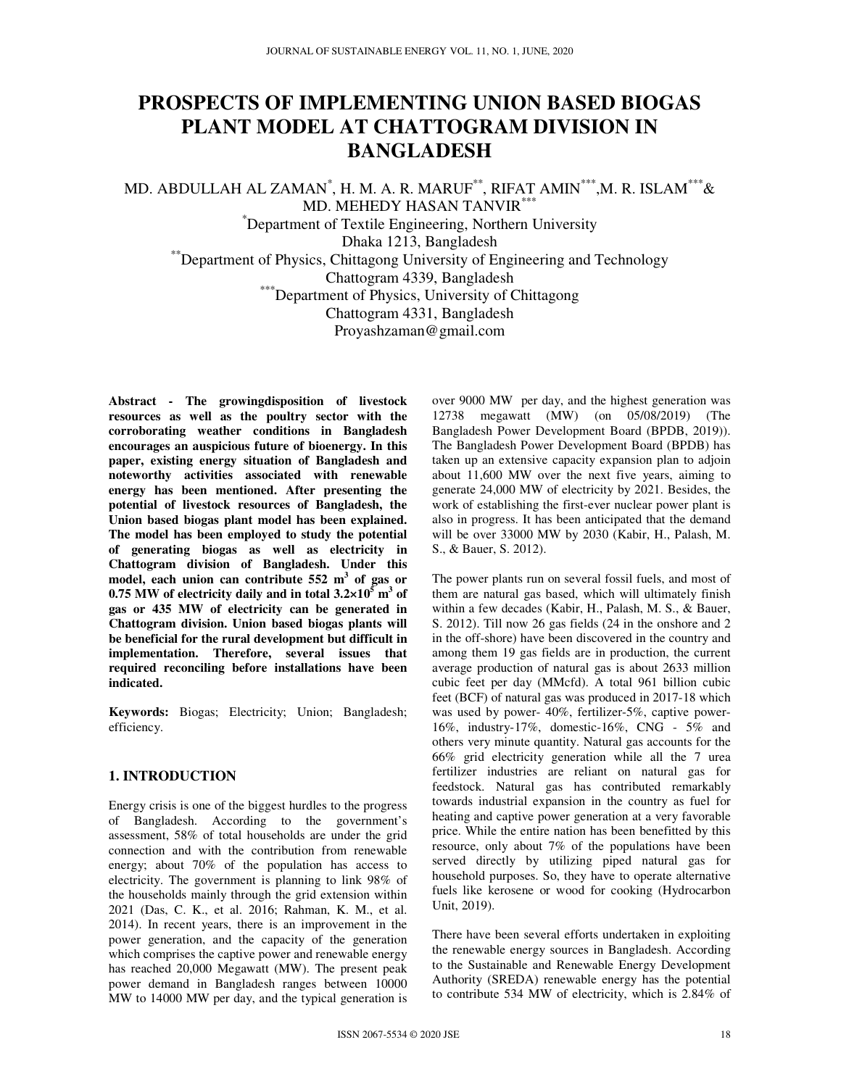# **PROSPECTS OF IMPLEMENTING UNION BASED BIOGAS PLANT MODEL AT CHATTOGRAM DIVISION IN BANGLADESH**

MD. ABDULLAH AL ZAMAN $^\ast$ , H. M. A. R. MARUF $^{**}$ , RIFAT AMIN $^{***}$ ,M. R. ISLAM $^{***}$ & MD. MEHEDY HASAN TANVIR\*\*\*

\*Department of Textile Engineering, Northern University

Dhaka 1213, Bangladesh

\*\*Department of Physics, Chittagong University of Engineering and Technology

Chattogram 4339, Bangladesh

\*\*\*Department of Physics, University of Chittagong

Chattogram 4331, Bangladesh

Proyashzaman@gmail.com

**Abstract - The growingdisposition of livestock resources as well as the poultry sector with the corroborating weather conditions in Bangladesh encourages an auspicious future of bioenergy. In this paper, existing energy situation of Bangladesh and noteworthy activities associated with renewable energy has been mentioned. After presenting the potential of livestock resources of Bangladesh, the Union based biogas plant model has been explained. The model has been employed to study the potential of generating biogas as well as electricity in Chattogram division of Bangladesh. Under this model, each union can contribute 552 m<sup>3</sup> of gas or**  0.75 MW of electricity daily and in total  $3.2 \times 10^5$  m<sup>3</sup> of **gas or 435 MW of electricity can be generated in Chattogram division. Union based biogas plants will be beneficial for the rural development but difficult in implementation. Therefore, several issues that required reconciling before installations have been indicated.** 

**Keywords:** Biogas; Electricity; Union; Bangladesh; efficiency.

# **1. INTRODUCTION**

Energy crisis is one of the biggest hurdles to the progress of Bangladesh. According to the government's assessment, 58% of total households are under the grid connection and with the contribution from renewable energy; about 70% of the population has access to electricity. The government is planning to link 98% of the households mainly through the grid extension within 2021 (Das, C. K., et al. 2016; Rahman, K. M., et al. 2014). In recent years, there is an improvement in the power generation, and the capacity of the generation which comprises the captive power and renewable energy has reached 20,000 Megawatt (MW). The present peak power demand in Bangladesh ranges between 10000 MW to 14000 MW per day, and the typical generation is

over 9000 MW per day, and the highest generation was 12738 megawatt (MW) (on 05/08/2019) (The Bangladesh Power Development Board (BPDB, 2019)). The Bangladesh Power Development Board (BPDB) has taken up an extensive capacity expansion plan to adjoin about 11,600 MW over the next five years, aiming to generate 24,000 MW of electricity by 2021. Besides, the work of establishing the first-ever nuclear power plant is also in progress. It has been anticipated that the demand will be over 33000 MW by 2030 (Kabir, H., Palash, M. S., & Bauer, S. 2012).

The power plants run on several fossil fuels, and most of them are natural gas based, which will ultimately finish within a few decades (Kabir, H., Palash, M. S., & Bauer, S. 2012). Till now 26 gas fields (24 in the onshore and 2 in the off-shore) have been discovered in the country and among them 19 gas fields are in production, the current average production of natural gas is about 2633 million cubic feet per day (MMcfd). A total 961 billion cubic feet (BCF) of natural gas was produced in 2017-18 which was used by power- 40%, fertilizer-5%, captive power-16%, industry-17%, domestic-16%, CNG - 5% and others very minute quantity. Natural gas accounts for the 66% grid electricity generation while all the 7 urea fertilizer industries are reliant on natural gas for feedstock. Natural gas has contributed remarkably towards industrial expansion in the country as fuel for heating and captive power generation at a very favorable price. While the entire nation has been benefitted by this resource, only about 7% of the populations have been served directly by utilizing piped natural gas for household purposes. So, they have to operate alternative fuels like kerosene or wood for cooking (Hydrocarbon Unit, 2019).

There have been several efforts undertaken in exploiting the renewable energy sources in Bangladesh. According to the Sustainable and Renewable Energy Development Authority (SREDA) renewable energy has the potential to contribute 534 MW of electricity, which is 2.84% of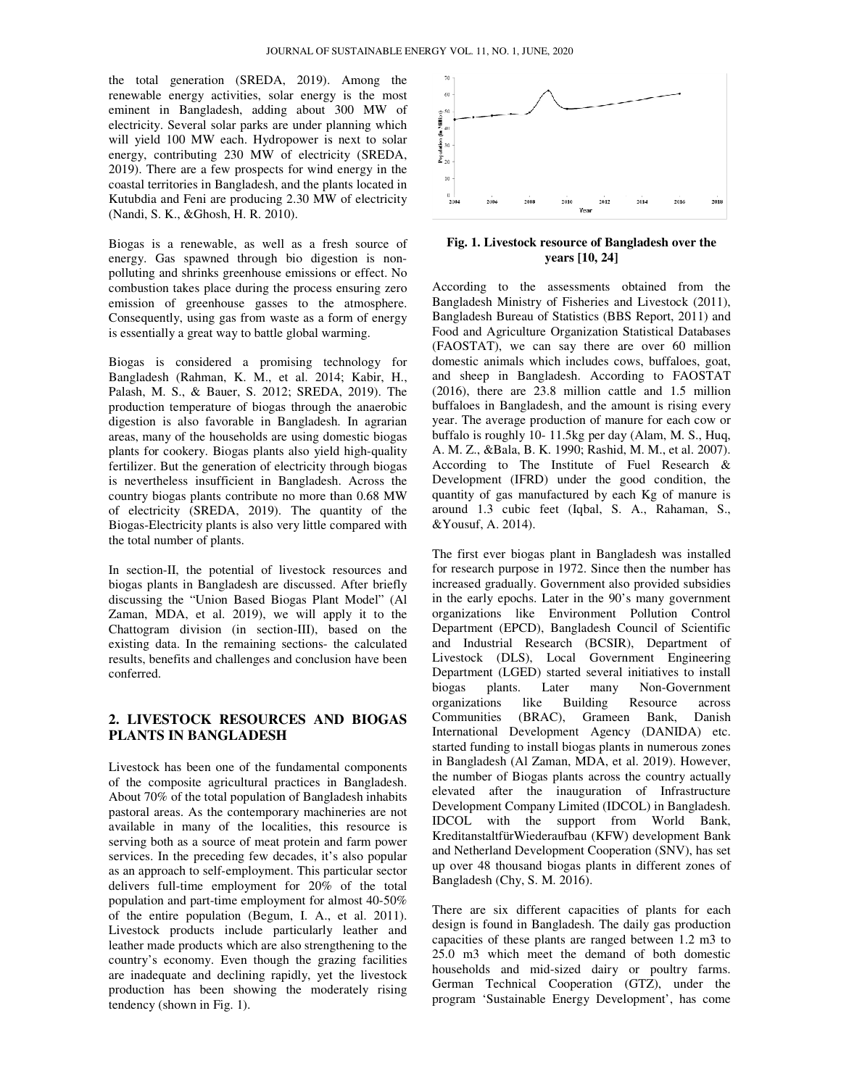the total generation (SREDA, 2019). Among the renewable energy activities, solar energy is the most eminent in Bangladesh, adding about 300 MW of electricity. Several solar parks are under planning which will yield 100 MW each. Hydropower is next to solar energy, contributing 230 MW of electricity (SREDA, 2019). There are a few prospects for wind energy in the coastal territories in Bangladesh, and the plants located in Kutubdia and Feni are producing 2.30 MW of electricity (Nandi, S. K., &Ghosh, H. R. 2010). coastal territories in Bangladesh, and the plants located in<br>Kutubdia and Feni are producing 2.30 MW of electricity<br>(Nandi, S. K., &Ghosh, H. R. 2010).<br>Biogas is a renewable, as well as a fresh source of<br>energy. Gas spawne adesh, adding about 300 MW of<br>solar parks are under planning which<br>*l* each. Hydropower is next to solar<br>g 230 MW of electricity (SREDA,

Biogas is a renewable, as well as a fresh source of polluting and shrinks greenhouse emissions or effect. No combustion takes place during the process ensuring zero emission of greenhouse gasses to the atmosphere. Consequently, using gas from waste as a form of energy is essentially a great way to battle global warming.

Biogas is considered a promising technology for Bangladesh (Rahman, K. M., et al. 2014; Kabir, H., Palash, M. S., & Bauer, S. 2012; SREDA, 2019). The production temperature of biogas through the anaerobic digestion is also favorable in Bangladesh. In agrarian areas, many of the households are using domestic biogas plants for cookery. Biogas plants also yield high fertilizer. But the generation of electricity through bioga biogas is nevertheless insufficient in Bangladesh. Across the country biogas plants contribute no more than 0.68 MW of electricity (SREDA, 2019). The quantity of the Biogas-Electricity plants is also very little compared with the total number of plants. hrinks greenhouse emissions or effect. No<br>tes place during the process ensuring zero<br>greenhouse gasses to the atmosphere.<br>using gas from waste as a form of energy<br>great way to battle global warming.<br>msidered a promising te

In section-II, the potential of livestock resources and biogas plants in Bangladesh are discussed. After briefly discussing the "Union Based Biogas Plant Model" (Al Zaman, MDA, et al. 2019), we will apply it to the Chattogram division (in section-III), based on the Chattogram division (in section-III), based on existing data. In the remaining sections-the calculated results, benefits and challenges and conclusion have been conferred. tricity (SREDA, 2019). The quantity of the<br>Electricity plants is also very little compared with<br>I number of plants.<br>ion-II, the potential of livestock resources and<br>plants in Bangladesh are discussed. After briefly<br>ng the

# **2. LIVESTOCK RESOURCES AND BIOGAS PLANTS IN BANGLADESH**

Livestock has been one of the fundamental components of the composite agricultural practices in Bangladesh. About 70% of the total population of Bangladesh inhabits pastoral areas. As the contemporary machineries are not available in many of the localities, this resource is serving both as a source of meat protein and farm power services. In the preceding few decades, it's also popular as an approach to self-employment. This particular sector delivers full-time employment for 20% of the total population and part-time employment for almost 40 of the entire population (Begum, I. A., et al. 2011). Livestock products include particularly leather and leather made products which are also strengthening to the country's economy. Even though the grazing facilities are inadequate and declining rapidly, yet the livestock production has been showing the moderately rising tendency (shown in Fig. 1). ts and challenges and conclusion have been<br> **OCK RESOURCES AND BIOGAS**<br> **IBANGLADESH**<br>
been one of the fundamental components<br>
siste agricultural practices in Bangladesh.<br>
the total population of Bangladesh inhabits<br>
As th h to self-employment. This particular sector<br>time employment for 20% of the total<br>d part-time employment for almost 40-50%



**years [10, 24]**  Fig. 1. Livestock resource of Bangladesh over the

According to the assessments obtained from the Bangladesh Ministry of Fisheries and Livestock (2011), Bangladesh Bureau of Statistics (BBS Report, 2011) and Food and Agriculture Organization Statistical Databases (FAOSTAT), we can say there are over 60 million domestic animals which includes cows, buffaloes, goat, and sheep in Bangladesh. According to FAOSTAT (2016), there are 23.8 million cattle and 1.5 million buffaloes in Bangladesh, and the amount is rising every year. The average production of manure for each cow or buffalo is roughly 10- 11.5kg per day (Alam, M. S., Huq, A. M. Z., &Bala, B. K. 1990; Rashid, M. M., et al. 2007). According to The Institute of Fuel Research & Development (IFRD) under the good condition, the quantity of gas manufactured by each Kg of manure is around 1.3 cubic feet (Iqbal, S. A., Rahaman, S., &Yousuf, A. 2014). g to the assessments obtained from the<br>sh Ministry of Fisheries and Livestock (2011),<br>sh Bureau of Statistics (BBS Report, 2011) and<br>Agriculture Organization Statistical Databases<br>T), we can say there are over 60 million<br>a

walk, as well as a fresh someon of **Fig. 1. Livestock resource of Bangladesh over the**<br>highest channels procedure consistents of effects No the atmosphere. Phase during the presences consisting from the sections of the atm The first ever biogas plant in Bangladesh was installed for research purpose in 1972. Since then the number has increased gradually. Government also provided subsidies in the early epochs. Later in the 90's many government organizations like Environment Pollution Control Department (EPCD), Bangladesh Council of Scientific and Industrial Research (BCSIR), Department of Livestock (DLS), Local Government Engineering Department (LGED) started several initiatives to install biogas plants. Later many Non-Government organizations like Building Resource across Communities (BRAC), Grameen Bank, Danish International Development Agency (DANIDA) etc. started funding to install biogas plants in numerous zones in Bangladesh (Al Zaman, MDA, et al. 2019). However, the number of Biogas plants across the country actually elevated after the inauguration of Infrastructure Development Company Limited (IDCOL) in Bangladesh. IDCOL with the support from World Bank, KreditanstaltfürWiederaufbau (KFW) development Bank and Netherland Development Cooperation (SNV up over 48 thousand biogas plants in different zones of Bangladesh (Chy, S. M. 2016). According to The Institute of Fuel Research &<br>Development (IFRD) under the good condition, the<br>quantity of gas manufactured by each Kg of manure is<br>around 1.3 cubic feet (Iqbal, S. A., Rahaman, S.,<br>&Yousuf, A. 2014).<br>The f organizations like Building Resource across<br>Communities (BRAC), Grameen Bank, Danish<br>International Development Agency (DANIDA) etc.<br>started funding to install biogas plants in numerous zones<br>in Bangladesh (Al Zaman, MDA, e elevated after the inauguration of Infrastructure<br>Development Company Limited (IDCOL) in Bangladesh.<br>IDCOL with the support from World Bank,<br>KreditanstaltfürWiederaufbau (KFW) development Bank<br>and Netherland Development Co

There are six different capacities of plants for each design is found in Bangladesh. The daily gas production capacities of these plants are ranged between 1. 25.0 m3 which meet the demand of both domestic households and mid-sized dairy or poultry farms. German Technical Cooperation (GTZ), under the program 'Sustainable Energy Development', has come different zones of<br>
different capacities in different zones of<br>
six different capacities of plants for each<br>
bound in Bangladesh. The daily gas production<br>
of these plants are ranged between 1.2 m3 to sized dairy or poult<br>Cooperation (GTZ), t<br>Energy Development',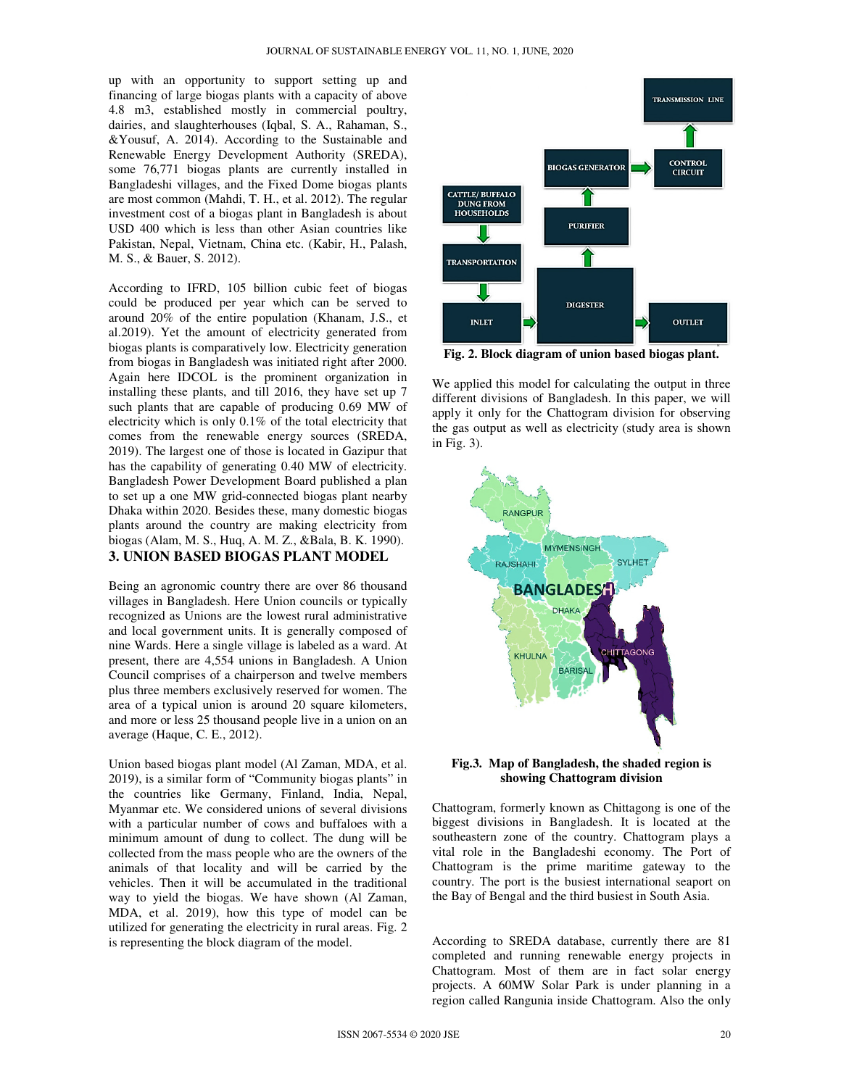up with an opportunity to support setting up and financing of large biogas plants with a capacity of above 4.8 m3, established mostly in commercial poultry, dairies, and slaughterhouses (Iqbal, S. A., Rahaman, S., &Yousuf, A. 2014). According to the Sustainable and Renewable Energy Development Authority (SREDA), some 76,771 biogas plants are currently installed in Bangladeshi villages, and the Fixed Dome biogas plants are most common (Mahdi, T. H., et al. 2012). The regular investment cost of a biogas plant in Bangladesh is about USD 400 which is less than other Asian countries like Pakistan, Nepal, Vietnam, China etc. (Kabir, H., Palash, M. S., & Bauer, S. 2012).

According to IFRD, 105 billion cubic feet of biogas could be produced per year which can be served to around 20% of the entire population (Khanam, J.S., et al.2019). Yet the amount of electricity generated from biogas plants is comparatively low. Electricity generation from biogas in Bangladesh was initiated right after 2000. Again here IDCOL is the prominent organization in installing these plants, and till 2016, they have set up 7 such plants that are capable of producing 0.69 MW of electricity which is only 0.1% of the total electricity that comes from the renewable energy sources (SREDA, 2019). The largest one of those is located in Gazipur that has the capability of generating 0.40 MW of electricity. Bangladesh Power Development Board published a plan to set up a one MW grid-connected biogas plant nearby Dhaka within 2020. Besides these, many domestic biogas plants around the country are making electricity from biogas (Alam, M. S., Huq, A. M. Z., &Bala, B. K. 1990). **3. UNION BASED BIOGAS PLANT MODEL**

Being an agronomic country there are over 86 thousand villages in Bangladesh. Here Union councils or typically recognized as Unions are the lowest rural administrative and local government units. It is generally composed of nine Wards. Here a single village is labeled as a ward. At present, there are 4,554 unions in Bangladesh. A Union Council comprises of a chairperson and twelve members plus three members exclusively reserved for women. The area of a typical union is around 20 square kilometers, and more or less 25 thousand people live in a union on an average (Haque, C. E., 2012).

Union based biogas plant model (Al Zaman, MDA, et al. 2019), is a similar form of "Community biogas plants" in the countries like Germany, Finland, India, Nepal, Myanmar etc. We considered unions of several divisions with a particular number of cows and buffaloes with a minimum amount of dung to collect. The dung will be collected from the mass people who are the owners of the animals of that locality and will be carried by the vehicles. Then it will be accumulated in the traditional way to yield the biogas. We have shown (Al Zaman, MDA, et al. 2019), how this type of model can be utilized for generating the electricity in rural areas. Fig. 2 is representing the block diagram of the model.



**Fig. 2. Block diagram of union based biogas plant.** 

We applied this model for calculating the output in three different divisions of Bangladesh. In this paper, we will apply it only for the Chattogram division for observing the gas output as well as electricity (study area is shown in Fig. 3).



**Fig.3. Map of Bangladesh, the shaded region is showing Chattogram division** 

Chattogram, formerly known as Chittagong is one of the biggest divisions in Bangladesh. It is located at the southeastern zone of the country. Chattogram plays a vital role in the Bangladeshi economy. The Port of Chattogram is the prime maritime gateway to the country. The port is the busiest international seaport on the Bay of Bengal and the third busiest in South Asia.

According to SREDA database, currently there are 81 completed and running renewable energy projects in Chattogram. Most of them are in fact solar energy projects. A 60MW Solar Park is under planning in a region called Rangunia inside Chattogram. Also the only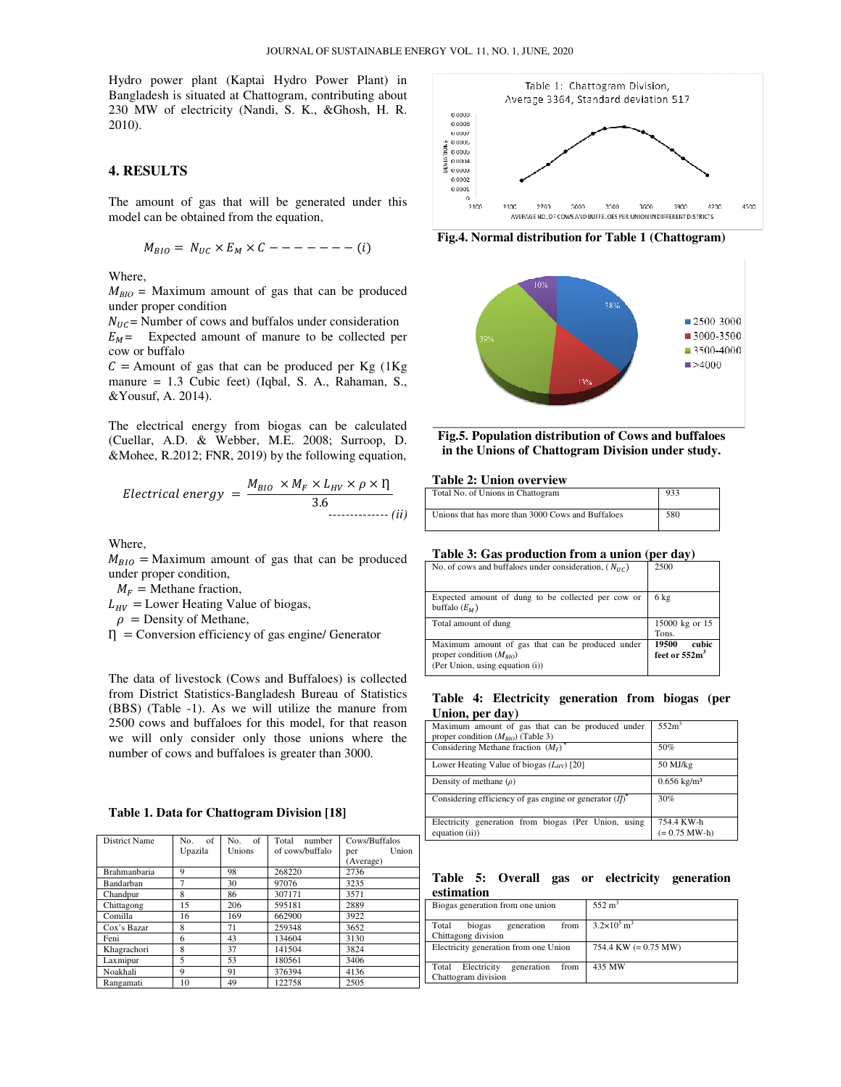Hydro power plant (Kaptai Hydro Power Plant) in Bangladesh is situated at Chattogram, contributing about 230 MW of electricity (Nandi, S. K., &Ghosh, H. R. 2010). 230 MW of electricity (Nandi, S. K., &Ghosh, H. R.<br>2010).<br>**4. RESULTS**<br>The amount of gas that will be generated under this

## **4. RESULTS**

model can be obtained from the equation,

$$
M_{BIO} = N_{UC} \times E_M \times C --- --- (i)
$$

Where,

 $M_{BIO}$  = Maximum amount of gas that can be produced under proper condition

 $N_{HC}$  = Number of cows and buffalos under consideration  $E_M$  = Expected amount of manure to be collected per cow or buffalo

 $C =$  Amount of gas that can be produced per Kg (1Kg) manure = 1.3 Cubic feet) (Iqbal, S. A., Rahaman, S., &Yousuf, A. 2014). amount of gas that can be produced<br>tion<br>ows and buffalos under consideration<br>imount of manure to be collected per<br>as that can be produced per Kg (1Kg<br>bic feet) (Iqbal, S. A., Rahaman, S.,<br>o.<br>Pry from biogas can be calculat

The electrical energy from biogas can be calculated (Cuellar, A.D. & Webber, M.E. 2008; Surroop, D. &Mohee, R.2012; FNR, 2019) by the following equation,

$$
Electrical\ energy = \frac{M_{BIO} \times M_F \times L_{HV} \times \rho \times \eta}{3.6}
$$

Where,

 $M_{BIO}$  = Maximum amount of gas that can be produced under proper condition,  $M_{BIO}$  = Maximum amount of gas that can be produnder proper condition,<br>  $M_F$  = Methane fraction,<br>  $L_{HV}$  = Lower Heating Value of biogas,<br>  $\rho$  = Density of Methane,<br>  $\eta$  = Conversion efficiency of gas engine/ Generator

 $M_F =$ Methane fraction,

 $L_{HV}$  = Lower Heating Value of biogas,

 $\rho$  = Density of Methane,

The data of livestock (Cows and Buffaloes) is collected from District Statistics-Bangladesh Bureau of Statistics (BBS) (Table -1). As we will utilize the manure from 2500 cows and buffaloes for this model, for that reason we will only consider only those unions where the number of cows and buffaloes is greater than 3000. tatistics-Bangladesh Bureau of Statis<br>1). As we will utilize the manure f<br>buffaloes for this model, for that rea<br>consider only those unions where

#### **Table 1. Data for Chattogram Division [18] Division**

| District Name | of<br>No.<br>Upazila | of<br>No.<br>Unions | Total<br>number<br>of cows/buffalo | Cows/Buffalos<br>Union<br>per<br>(Average) |
|---------------|----------------------|---------------------|------------------------------------|--------------------------------------------|
| Brahmanbaria  | 9                    | 98                  | 268220                             | 2736                                       |
| Bandarban     | 7                    | 30                  | 97076                              | 3235                                       |
| Chandpur      | 8                    | 86                  | 307171                             | 3571                                       |
| Chittagong    | 15                   | 206                 | 595181                             | 2889                                       |
| Comilla       | 16                   | 169                 | 662900                             | 3922                                       |
| Cox's Bazar   | 8                    | 71                  | 259348                             | 3652                                       |
| Feni          | 6                    | 43                  | 134604                             | 3130                                       |
| Khagrachori   | 8                    | 37                  | 141504                             | 3824                                       |
| Laxmipur      | 5                    | 53                  | 180561                             | 3406                                       |
| Noakhali      | 9                    | 91                  | 376394                             | 4136                                       |
| Rangamati     | 10                   | 49                  | 122758                             | 2505                                       |



**Fig.4. Normal distribution for Table 1 (Chattogram)**



**Fig.5. Population distribution of Cows and buffaloes in the Unions of Chattogram Division under study.**

#### **Table 2: Union overview**

| Total No. of Unions in Chattogram                 | 933 |
|---------------------------------------------------|-----|
| Unions that has more than 3000 Cows and Buffaloes | 580 |

#### **Table 3: Gas production from a union (per day) union**

| No. of cows and buffaloes under consideration, $(N_{HC})$                                                           | 2500                              |
|---------------------------------------------------------------------------------------------------------------------|-----------------------------------|
| Expected amount of dung to be collected per cow or<br>buffalo $(E_M)$                                               | 6 kg                              |
| Total amount of dung                                                                                                | $15000$ kg or $15$ $\,$<br>Tons.  |
| Maximum amount of gas that can be produced under<br>proper condition $(M_{BIO})$<br>(Per Union, using equation (i)) | 19500<br>cubic<br>feet or $552m3$ |

#### Table 4: Electricity generation from biogas (per **Union, per day)**

| Maximum amount of gas that can be produced under<br>proper condition $(M_{BIO})$ (Table 3) | 552m <sup>3</sup>             |
|--------------------------------------------------------------------------------------------|-------------------------------|
| Considering Methane fraction $(M_F)^*$                                                     | 50%                           |
| Lower Heating Value of biogas $(L_{HV})$ [20]                                              | 50 MJ/kg                      |
| Density of methane $(\rho)$                                                                | $0.656 \text{ kg/m}^3$        |
| Considering efficiency of gas engine or generator $(I)^*$                                  | 30%                           |
| Electricity generation from biogas (Per Union, using<br>equation $(ii)$ )                  | 754.4 KW-h<br>$(= 0.75$ MW-h) |

#### Table 5: Overall gas or electricity generation **estimation**

| Biogas generation from one union           | $552 \text{ m}^3$                       |
|--------------------------------------------|-----------------------------------------|
| Total<br>biogas<br>from<br>generation      | $3.2 \times 10^5$ m <sup>3</sup>        |
| Chittagong division                        |                                         |
| Electricity generation from one Union      | $754.4 \text{ KW } (= 0.75 \text{ MW})$ |
|                                            |                                         |
| Electricity<br>generation<br>Total<br>from | 435 MW                                  |
| Chattogram division                        |                                         |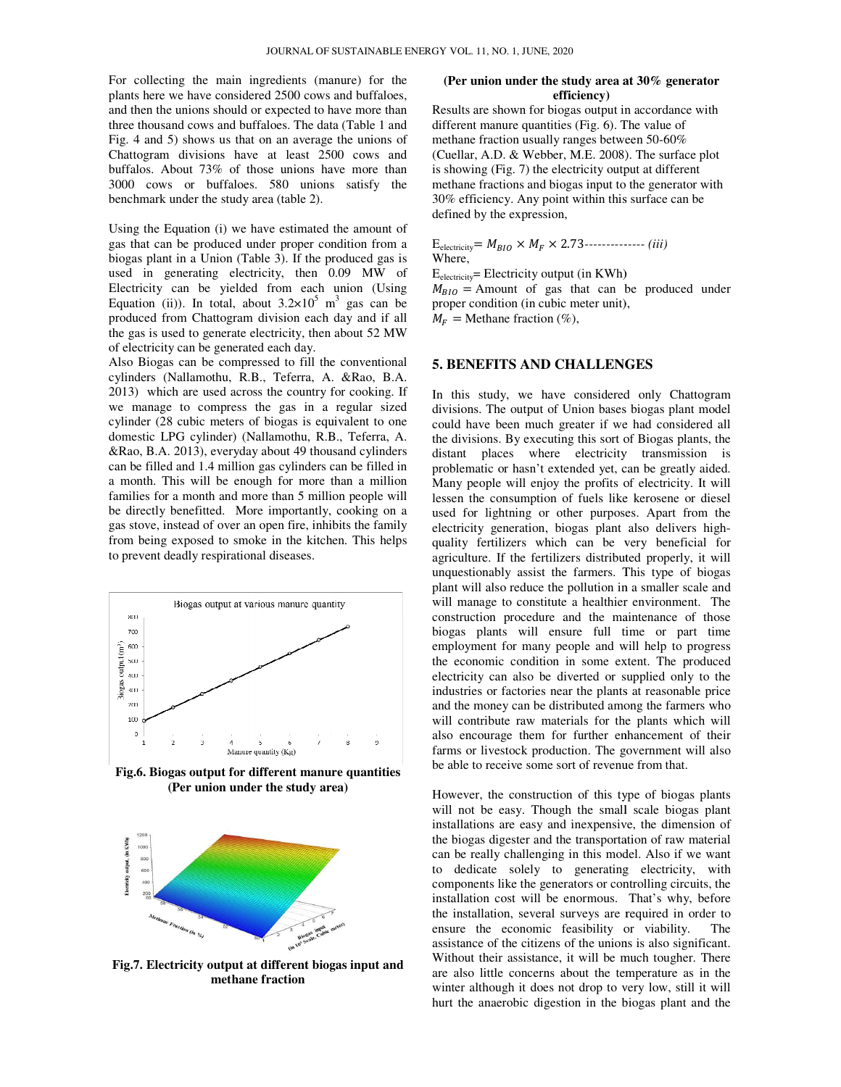For collecting the main ingredients (manure) for the plants here we have considered 2500 cows and buffaloes, and then the unions should or expected to have more than three thousand cows and buffaloes. The data (Table 1 and Fig. 4 and 5) shows us that on an average the unions of Chattogram divisions have at least 2500 cows and buffalos. About 73% of those unions have more than 3000 cows or buffaloes. 580 unions satisfy the benchmark under the study area (table 2). exerciting the main ingredients (manure) for the<br>re we have considered 2500 cows and buffaloes,<br>the unions should or expected to have more than<br>usand cows and buffaloes. The data (Table 1 and<br>d 5) shows us that on an avera

Using the Equation (i) we have estimated the amount of gas that can be produced under proper condition from a biogas plant in a Union (Table 3). If the produced gas is used in generating electricity, then 0.09 MW of Electricity can be yielded from each union (Using Equation (ii)). In total, about  $3.2 \times 10^5$  m<sup>3</sup> gas can be produced from Chattogram division each day and if all the gas is used to generate electricity, then about 52 MW of electricity can be generated each day.

Also Biogas can be compressed to fill the conventional cylinders (Nallamothu, R.B., Teferra, A. &Rao, B.A. 2013) which are used across the country for cooking. If we manage to compress the gas in a regular sized cylinder (28 cubic meters of biogas is equivalent to one domestic LPG cylinder) (Nallamothu, R.B., Teferra, A. &Rao, B.A. 2013), everyday about 49 thousand cylinders can be filled and 1.4 million gas cylinders can be filled in a month. This will be enough for more than a million families for a month and more than 5 million people will be directly benefitted. More importantly, cooking on a gas stove, instead of over an open fire, inhibits the family from being exposed to smoke in the kitchen. This helps to prevent deadly respirational diseases. oduced from Chattogram division each day and if all<br>e gas is used to generate electricity, then about 52 MW<br>electricity can be generated each day.<br>So Biogas can be compressed to fill the conventional<br>linders (Nallamothu, R



**Fig.6. Biogas output for different manure quantities (Per union under the study area)**



**Fig.7. Electricity output at different biogas input and methane fraction** 

# **efficiency)**  (Per union under the study area at 30% generator

Results are shown for biogas output in accordance with different manure quantities (Fig. 6). The value of methane fraction usually ranges between 50 50-60% (Cuellar, A.D. & Webber, M.E. 2008). The surface plot is showing (Fig. 7) the electricity output at different methane fractions and biogas input to the generator with is showing (Fig. 7) the electricity output at different<br>methane fractions and biogas input to the generator w<br>30% efficiency. Any point within this surface can be defined by the expression,

 $E_{\text{electricity}} = M_{BIO} \times M_F \times 2.73$ --------------- *(iii)* Where,

 $E_{electricity}$ = Electricity output (in KWh)  $M_{BIO}$  = Amount of gas that can be produced under proper condition (in cubic meter unit),

 $M_F =$  Methane fraction (%),

## **5. BENEFITS AND CHALLENGES**

Electricity thera has the main and the study of the content in the study area at 30% generator in the study of the study of the study of the study area at 30% generator in the study and one at 30 minutes and one at 30% ge In this study, we have considered only Chattogram divisions. The output of Union bases biogas plant model could have been much greater if we had considered all the divisions. By executing this sort of Biogas plants, the distant places where electricity transmission is problematic or hasn't extended yet, can be greatly aided. Many people will enjoy the profits of electricity. It will lessen the consumption of fuels like kerosene or diesel used for lightning or other purposes. Apart from the electricity generation, biogas plant also delivers high quality fertilizers which can be very beneficial for agriculture. If the fertilizers distributed properly, it will unquestionably assist the farmers. This type of biogas quality fertilizers which can be very beneficial for agriculture. If the fertilizers distributed properly, it will unquestionably assist the farmers. This type of biogas plant will also reduce the pollution in a smaller sc will manage to constitute a healthier environment. The construction procedure and the maintenance of those biogas plants will ensure full time or part time employment for many people and will help to progress the economic condition in some extent. The produced electricity can also be diverted or supplied only to the industries or factories near the plants at reasonable price and the money can be distributed among the farmers who will contribute raw materials for the plants which will also encourage them for further enhancement of their farms or livestock production. The government will also be able to receive some sort of revenue from that. E<sub>electricity</sub> Electricity output (in KWh)<br>  $M_{BIO}$  = Amount of gas that can be produced under<br>
proper condition (in cubic meter unit),<br>  $M_F$  = Methane fraction (%),<br>
5. **BENEFITS AND CHALLENGES**<br>
In this study, we have c ic or hasn't extended yet, can be greatly aided.<br>ple will enjoy the profits of electricity. It will<br>consumption of fuels like kerosene or diesel<br>lightning or other purposes. Apart from the<br>generation, biogas plant also del biogas plants will ensure full time or part time<br>employment for many people and will help to progress<br>the economic condition in some extent. The produced electricity can also be diverted or supplied only to the industries or factories near the plants at reasonable price and the money can be distributed among the farmers who will contribute raw materials for the plants which

However, the construction of this type of biogas plants will not be easy. Though the small scale biogas plant installations are easy and inexpensive, the dimension of the biogas digester and the transportation of raw material can be really challenging in this model. Also if we want to dedicate solely to generating electricity, with components like the generators or controlling circuits, the installation cost will be enormous. That's why, before the installation, several surveys are required in order to ensure the economic feasibility or viability. The assistance of the citizens of the unions is also significant. Without their assistance, it will be much tougher. There are also little concerns about the temperature as in the winter although it does not drop to very low, still it will hurt the anaerobic digestion in the biogas plant and the installations are easy and inexpensive, the dimension of the biogas digester and the transportation of raw material can be really challenging in this model. Also if we want to dedicate solely to generating electricity, wit out their assistance, it will be much tougher. There lso little concerns about the temperature as in the er although it does not drop to very low, still it will the anaerobic digestion in the biogas plant and the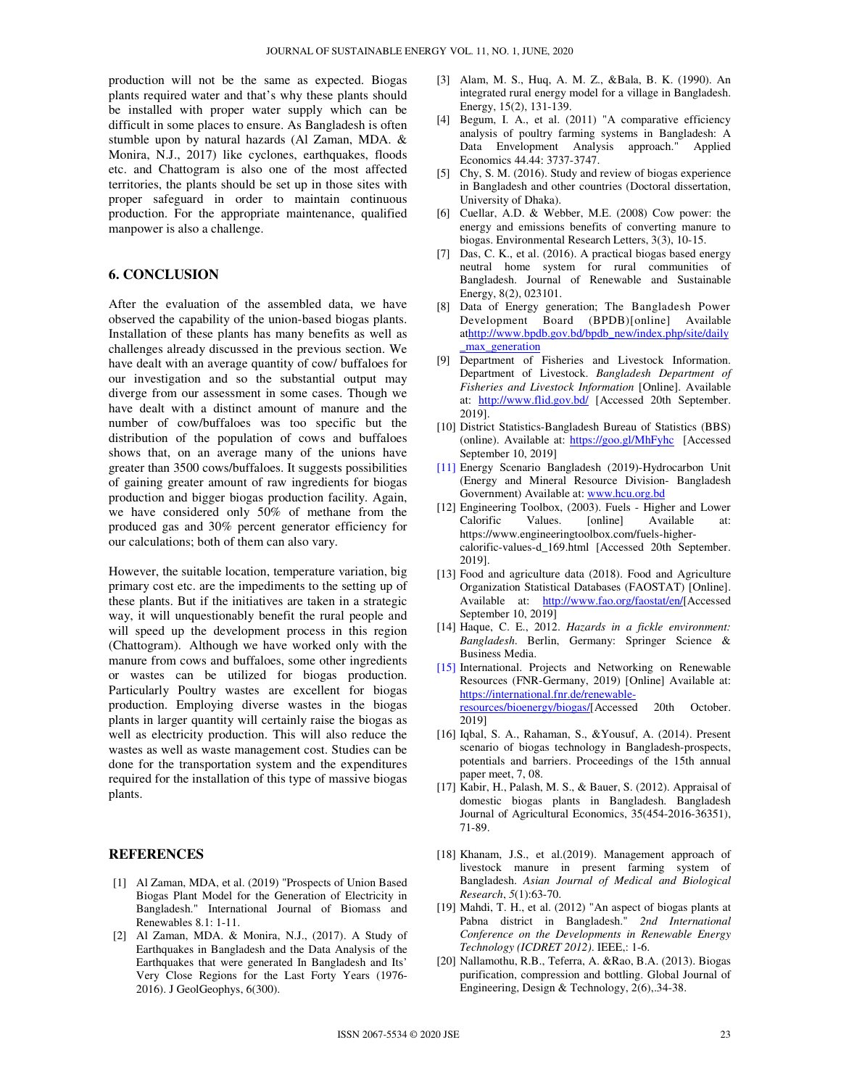production will not be the same as expected. Biogas plants required water and that's why these plants should be installed with proper water supply which can be difficult in some places to ensure. As Bangladesh is often stumble upon by natural hazards (Al Zaman, MDA. & Monira, N.J., 2017) like cyclones, earthquakes, floods etc. and Chattogram is also one of the most affected territories, the plants should be set up in those sites with proper safeguard in order to maintain continuous production. For the appropriate maintenance, qualified manpower is also a challenge.

# **6. CONCLUSION**

After the evaluation of the assembled data, we have observed the capability of the union-based biogas plants. Installation of these plants has many benefits as well as challenges already discussed in the previous section. We have dealt with an average quantity of cow/ buffaloes for our investigation and so the substantial output may diverge from our assessment in some cases. Though we have dealt with a distinct amount of manure and the number of cow/buffaloes was too specific but the distribution of the population of cows and buffaloes shows that, on an average many of the unions have greater than 3500 cows/buffaloes. It suggests possibilities of gaining greater amount of raw ingredients for biogas production and bigger biogas production facility. Again, we have considered only 50% of methane from the produced gas and 30% percent generator efficiency for our calculations; both of them can also vary.

However, the suitable location, temperature variation, big primary cost etc. are the impediments to the setting up of these plants. But if the initiatives are taken in a strategic way, it will unquestionably benefit the rural people and will speed up the development process in this region (Chattogram). Although we have worked only with the manure from cows and buffaloes, some other ingredients or wastes can be utilized for biogas production. Particularly Poultry wastes are excellent for biogas production. Employing diverse wastes in the biogas plants in larger quantity will certainly raise the biogas as well as electricity production. This will also reduce the wastes as well as waste management cost. Studies can be done for the transportation system and the expenditures required for the installation of this type of massive biogas plants.

#### **REFERENCES**

- [1] Al Zaman, MDA, et al. (2019) "Prospects of Union Based Biogas Plant Model for the Generation of Electricity in Bangladesh." International Journal of Biomass and Renewables 8.1: 1-11.
- [2] Al Zaman, MDA. & Monira, N.J., (2017). A Study of Earthquakes in Bangladesh and the Data Analysis of the Earthquakes that were generated In Bangladesh and Its' Very Close Regions for the Last Forty Years (1976- 2016). J GeolGeophys, 6(300).
- [3] Alam, M. S., Huq, A. M. Z., &Bala, B. K. (1990). An integrated rural energy model for a village in Bangladesh. Energy, 15(2), 131-139.
- [4] Begum, I. A., et al. (2011) "A comparative efficiency analysis of poultry farming systems in Bangladesh: A Data Envelopment Analysis approach." Applied Economics 44.44: 3737-3747.
- [5] Chy, S. M. (2016). Study and review of biogas experience in Bangladesh and other countries (Doctoral dissertation, University of Dhaka).
- [6] Cuellar, A.D. & Webber, M.E. (2008) Cow power: the energy and emissions benefits of converting manure to biogas. Environmental Research Letters, 3(3), 10-15.
- [7] Das, C. K., et al. (2016). A practical biogas based energy neutral home system for rural communities of Bangladesh. Journal of Renewable and Sustainable Energy, 8(2), 023101.
- [8] Data of Energy generation; The Bangladesh Power Development Board (BPDB)[online] Available athttp://www.bpdb.gov.bd/bpdb\_new/index.php/site/daily \_max\_generation
- [9] Department of Fisheries and Livestock Information. Department of Livestock. *Bangladesh Department of Fisheries and Livestock Information* [Online]. Available at: http://www.flid.gov.bd/ [Accessed 20th September. 2019].
- [10] District Statistics-Bangladesh Bureau of Statistics (BBS) (online). Available at: https://goo.gl/MhFyhc [Accessed September 10, 2019]
- [11] Energy Scenario Bangladesh (2019)-Hydrocarbon Unit (Energy and Mineral Resource Division- Bangladesh Government) Available at: www.hcu.org.bd
- [12] Engineering Toolbox, (2003). Fuels Higher and Lower Calorific Values. [online] Available at: https://www.engineeringtoolbox.com/fuels-highercalorific-values-d\_169.html [Accessed 20th September. 2019].
- [13] Food and agriculture data (2018). Food and Agriculture Organization Statistical Databases (FAOSTAT) [Online]. Available at: http://www.fao.org/faostat/en/[Accessed September 10, 2019]
- [14] Haque, C. E., 2012. *Hazards in a fickle environment: Bangladesh*. Berlin, Germany: Springer Science & Business Media.
- [15] International. Projects and Networking on Renewable Resources (FNR-Germany, 2019) [Online] Available at: https://international.fnr.de/renewableresources/bioenergy/biogas/[Accessed 20th October. 2019]
- [16] Iqbal, S. A., Rahaman, S., &Yousuf, A. (2014). Present scenario of biogas technology in Bangladesh-prospects, potentials and barriers. Proceedings of the 15th annual paper meet, 7, 08.
- [17] Kabir, H., Palash, M. S., & Bauer, S. (2012). Appraisal of domestic biogas plants in Bangladesh. Bangladesh Journal of Agricultural Economics, 35(454-2016-36351), 71-89.
- [18] Khanam, J.S., et al.(2019). Management approach of livestock manure in present farming system of Bangladesh. *Asian Journal of Medical and Biological Research*, *5*(1):63-70.
- [19] Mahdi, T. H., et al. (2012) "An aspect of biogas plants at Pabna district in Bangladesh." *2nd International Conference on the Developments in Renewable Energy Technology (ICDRET 2012)*. IEEE,: 1-6.
- [20] Nallamothu, R.B., Teferra, A. &Rao, B.A. (2013). Biogas purification, compression and bottling. Global Journal of Engineering, Design & Technology, 2(6),.34-38.